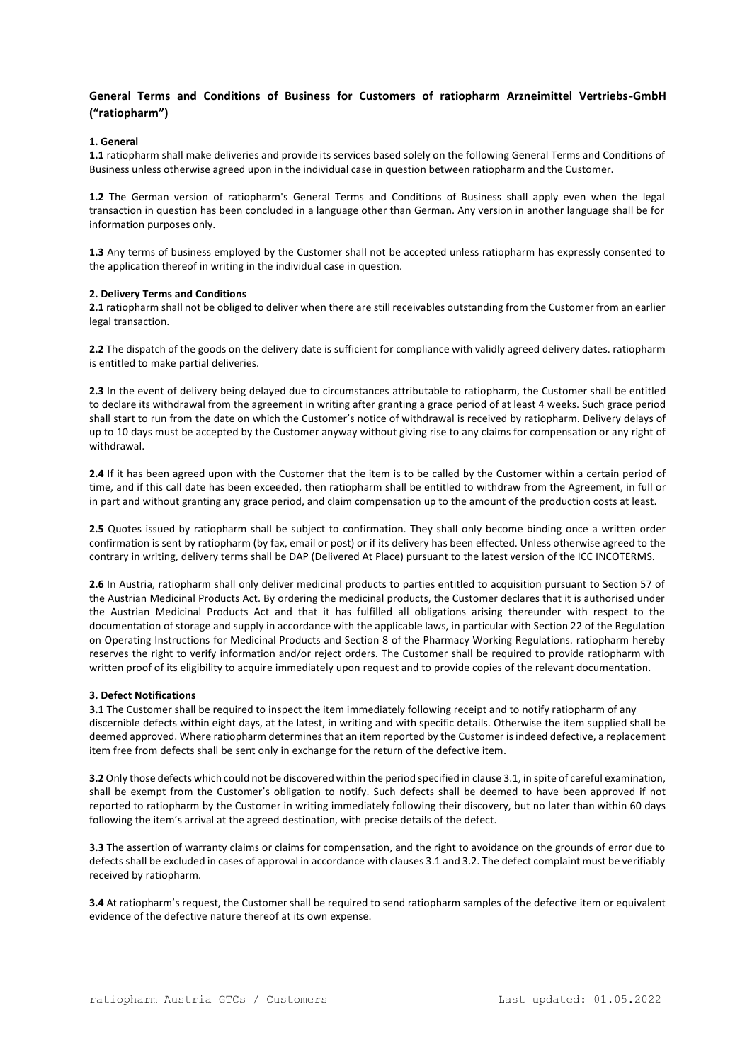# **General Terms and Conditions of Business for Customers of ratiopharm Arzneimittel Vertriebs-GmbH ("ratiopharm")**

## **1. General**

**1.1** ratiopharm shall make deliveries and provide its services based solely on the following General Terms and Conditions of Business unless otherwise agreed upon in the individual case in question between ratiopharm and the Customer.

**1.2** The German version of ratiopharm's General Terms and Conditions of Business shall apply even when the legal transaction in question has been concluded in a language other than German. Any version in another language shall be for information purposes only.

**1.3** Any terms of business employed by the Customer shall not be accepted unless ratiopharm has expressly consented to the application thereof in writing in the individual case in question.

#### **2. Delivery Terms and Conditions**

**2.1** ratiopharm shall not be obliged to deliver when there are still receivables outstanding from the Customer from an earlier legal transaction.

**2.2** The dispatch of the goods on the delivery date is sufficient for compliance with validly agreed delivery dates. ratiopharm is entitled to make partial deliveries.

**2.3** In the event of delivery being delayed due to circumstances attributable to ratiopharm, the Customer shall be entitled to declare its withdrawal from the agreement in writing after granting a grace period of at least 4 weeks. Such grace period shall start to run from the date on which the Customer's notice of withdrawal is received by ratiopharm. Delivery delays of up to 10 days must be accepted by the Customer anyway without giving rise to any claims for compensation or any right of withdrawal.

**2.4** If it has been agreed upon with the Customer that the item is to be called by the Customer within a certain period of time, and if this call date has been exceeded, then ratiopharm shall be entitled to withdraw from the Agreement, in full or in part and without granting any grace period, and claim compensation up to the amount of the production costs at least.

**2.5** Quotes issued by ratiopharm shall be subject to confirmation. They shall only become binding once a written order confirmation is sent by ratiopharm (by fax, email or post) or if its delivery has been effected. Unless otherwise agreed to the contrary in writing, delivery terms shall be DAP (Delivered At Place) pursuant to the latest version of the ICC INCOTERMS.

**2.6** In Austria, ratiopharm shall only deliver medicinal products to parties entitled to acquisition pursuant to Section 57 of the Austrian Medicinal Products Act. By ordering the medicinal products, the Customer declares that it is authorised under the Austrian Medicinal Products Act and that it has fulfilled all obligations arising thereunder with respect to the documentation of storage and supply in accordance with the applicable laws, in particular with Section 22 of the Regulation on Operating Instructions for Medicinal Products and Section 8 of the Pharmacy Working Regulations. ratiopharm hereby reserves the right to verify information and/or reject orders. The Customer shall be required to provide ratiopharm with written proof of its eligibility to acquire immediately upon request and to provide copies of the relevant documentation.

#### **3. Defect Notifications**

**3.1** The Customer shall be required to inspect the item immediately following receipt and to notify ratiopharm of any discernible defects within eight days, at the latest, in writing and with specific details. Otherwise the item supplied shall be deemed approved. Where ratiopharm determines that an item reported by the Customer is indeed defective, a replacement item free from defects shall be sent only in exchange for the return of the defective item.

**3.2** Only those defects which could not be discovered within the period specified in clause 3.1, in spite of careful examination, shall be exempt from the Customer's obligation to notify. Such defects shall be deemed to have been approved if not reported to ratiopharm by the Customer in writing immediately following their discovery, but no later than within 60 days following the item's arrival at the agreed destination, with precise details of the defect.

**3.3** The assertion of warranty claims or claims for compensation, and the right to avoidance on the grounds of error due to defects shall be excluded in cases of approval in accordance with clauses 3.1 and 3.2. The defect complaint must be verifiably received by ratiopharm.

**3.4** At ratiopharm's request, the Customer shall be required to send ratiopharm samples of the defective item or equivalent evidence of the defective nature thereof at its own expense.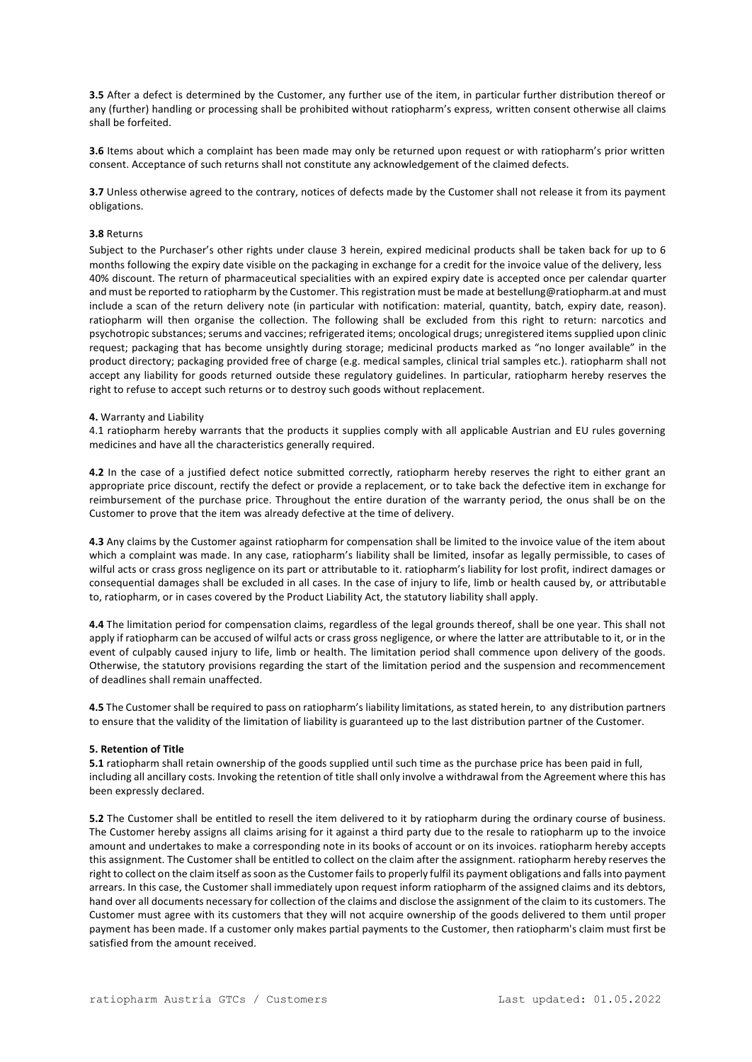**3.5** After a defect is determined by the Customer, any further use of the item, in particular further distribution thereof or any (further) handling or processing shall be prohibited without ratiopharm's express, written consent otherwise all claims shall be forfeited.

**3.6** Items about which a complaint has been made may only be returned upon request or with ratiopharm's prior written consent. Acceptance of such returns shall not constitute any acknowledgement of the claimed defects.

**3.7** Unless otherwise agreed to the contrary, notices of defects made by the Customer shall not release it from its payment obligations.

## **3.8** Returns

Subject to the Purchaser's other rights under clause 3 herein, expired medicinal products shall be taken back for up to 6 months following the expiry date visible on the packaging in exchange for a credit for the invoice value of the delivery, less 40% discount. The return of pharmaceutical specialities with an expired expiry date is accepted once per calendar quarter and must be reported to ratiopharm by the Customer. This registration must be made a[t bestellung@ratiopharm.at a](mailto:bestellung@ratiopharm.at)nd must include a scan of the return delivery note (in particular with notification: material, quantity, batch, expiry date, reason). ratiopharm will then organise the collection. The following shall be excluded from this right to return: narcotics and psychotropic substances; serums and vaccines; refrigerated items; oncological drugs; unregistered items supplied upon clinic request; packaging that has become unsightly during storage; medicinal products marked as "no longer available" in the product directory; packaging provided free of charge (e.g. medical samples, clinical trial samples etc.). ratiopharm shall not accept any liability for goods returned outside these regulatory guidelines. In particular, ratiopharm hereby reserves the right to refuse to accept such returns or to destroy such goods without replacement.

#### **4.** Warranty and Liability

4.1 ratiopharm hereby warrants that the products it supplies comply with all applicable Austrian and EU rules governing medicines and have all the characteristics generally required.

**4.2** In the case of a justified defect notice submitted correctly, ratiopharm hereby reserves the right to either grant an appropriate price discount, rectify the defect or provide a replacement, or to take back the defective item in exchange for reimbursement of the purchase price. Throughout the entire duration of the warranty period, the onus shall be on the Customer to prove that the item was already defective at the time of delivery.

**4.3** Any claims by the Customer against ratiopharm for compensation shall be limited to the invoice value of the item about which a complaint was made. In any case, ratiopharm's liability shall be limited, insofar as legally permissible, to cases of wilful acts or crass gross negligence on its part or attributable to it. ratiopharm's liability for lost profit, indirect damages or consequential damages shall be excluded in all cases. In the case of injury to life, limb or health caused by, or attributable to, ratiopharm, or in cases covered by the Product Liability Act, the statutory liability shall apply.

**4.4** The limitation period for compensation claims, regardless of the legal grounds thereof, shall be one year. This shall not apply if ratiopharm can be accused of wilful acts or crass gross negligence, or where the latter are attributable to it, or in the event of culpably caused injury to life, limb or health. The limitation period shall commence upon delivery of the goods. Otherwise, the statutory provisions regarding the start of the limitation period and the suspension and recommencement of deadlines shall remain unaffected.

**4.5** The Customer shall be required to pass on ratiopharm's liability limitations, as stated herein, to any distribution partners to ensure that the validity of the limitation of liability is guaranteed up to the last distribution partner of the Customer.

#### **5. Retention of Title**

**5.1** ratiopharm shall retain ownership of the goods supplied until such time as the purchase price has been paid in full, including all ancillary costs. Invoking the retention of title shall only involve a withdrawal from the Agreement where this has been expressly declared.

**5.2** The Customer shall be entitled to resell the item delivered to it by ratiopharm during the ordinary course of business. The Customer hereby assigns all claims arising for it against a third party due to the resale to ratiopharm up to the invoice amount and undertakes to make a corresponding note in its books of account or on its invoices. ratiopharm hereby accepts this assignment. The Customer shall be entitled to collect on the claim after the assignment. ratiopharm hereby reserves the right to collect on the claim itself as soon as the Customer fails to properly fulfil its payment obligations and falls into payment arrears. In this case, the Customer shall immediately upon request inform ratiopharm of the assigned claims and its debtors, hand over all documents necessary for collection of the claims and disclose the assignment of the claim to its customers. The Customer must agree with its customers that they will not acquire ownership of the goods delivered to them until proper payment has been made. If a customer only makes partial payments to the Customer, then ratiopharm's claim must first be satisfied from the amount received.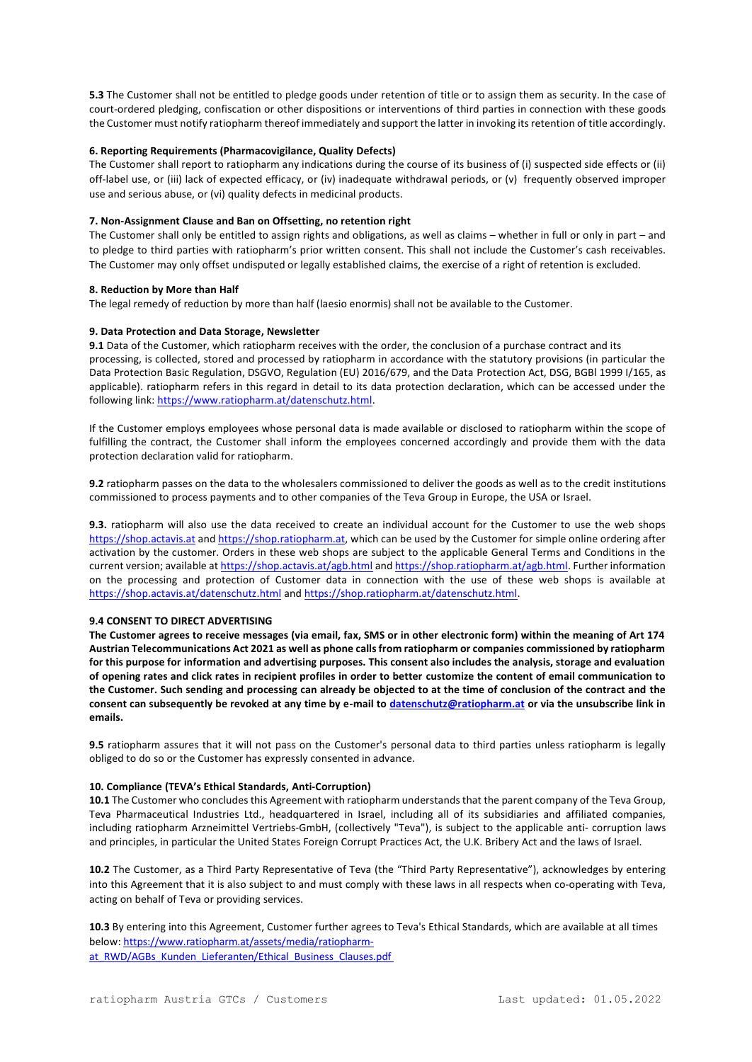**5.3** The Customer shall not be entitled to pledge goods under retention of title or to assign them as security. In the case of court-ordered pledging, confiscation or other dispositions or interventions of third parties in connection with these goods the Customer must notify ratiopharm thereof immediately and support the latter in invoking its retention of title accordingly.

## **6. Reporting Requirements (Pharmacovigilance, Quality Defects)**

The Customer shall report to ratiopharm any indications during the course of its business of (i) suspected side effects or (ii) off-label use, or (iii) lack of expected efficacy, or (iv) inadequate withdrawal periods, or (v) frequently observed improper use and serious abuse, or (vi) quality defects in medicinal products.

## **7. Non-Assignment Clause and Ban on Offsetting, no retention right**

The Customer shall only be entitled to assign rights and obligations, as well as claims – whether in full or only in part – and to pledge to third parties with ratiopharm's prior written consent. This shall not include the Customer's cash receivables. The Customer may only offset undisputed or legally established claims, the exercise of a right of retention is excluded.

#### **8. Reduction by More than Half**

The legal remedy of reduction by more than half (laesio enormis) shall not be available to the Customer.

## **9. Data Protection and Data Storage, Newsletter**

**9.1** Data of the Customer, which ratiopharm receives with the order, the conclusion of a purchase contract and its processing, is collected, stored and processed by ratiopharm in accordance with the statutory provisions (in particular the Data Protection Basic Regulation, DSGVO, Regulation (EU) 2016/679, and the Data Protection Act, DSG, BGBl 1999 I/165, as applicable). ratiopharm refers in this regard in detail to its data protection declaration, which can be accessed under the following link: [https://www.ratiopharm.at/datenschutz.html.](https://www.ratiopharm.at/datenschutz.html)

If the Customer employs employees whose personal data is made available or disclosed to ratiopharm within the scope of fulfilling the contract, the Customer shall inform the employees concerned accordingly and provide them with the data protection declaration valid for ratiopharm.

**9.2** ratiopharm passes on the data to the wholesalers commissioned to deliver the goods as well as to the credit institutions commissioned to process payments and to other companies of the Teva Group in Europe, the USA or Israel.

**9.3.** ratiopharm will also use the data received to create an individual account for the Customer to use the web shops [https://shop.actavis.at](https://shop.actavis.at/) and [https://shop.ratiopharm.at,](https://shop.ratiopharm.at/) which can be used by the Customer for simple online ordering after activation by the customer. Orders in these web shops are subject to the applicable General Terms and Conditions in the current version; available a[t https://shop.actavis.at/agb.html](https://shop.actavis.at/agb.html) an[d https://shop.ratiopharm.at/agb.html.](https://shop.ratiopharm.at/agb.html) Further information on the processing and protection of Customer data in connection with the use of these web shops is available at <https://shop.actavis.at/datenschutz.html> an[d https://shop.ratiopharm.at/datenschutz.html.](https://shop.ratiopharm.at/datenschutz.html)

#### **9.4 CONSENT TO DIRECT ADVERTISING**

**The Customer agrees to receive messages (via email, fax, SMS or in other electronic form) within the meaning of Art 174 Austrian Telecommunications Act 2021 as well as phone calls from ratiopharm or companies commissioned by ratiopharm for this purpose for information and advertising purposes. This consent also includes the analysis, storage and evaluation of opening rates and click rates in recipient profiles in order to better customize the content of email communication to the Customer. Such sending and processing can already be objected to at the time of conclusion of the contract and the consent can subsequently be revoked at any time by e-mail to [datenschutz@ratiopharm.at](mailto:datenschutz@ratiopharm.at) or via the unsubscribe link in emails.**

**9.5** ratiopharm assures that it will not pass on the Customer's personal data to third parties unless ratiopharm is legally obliged to do so or the Customer has expressly consented in advance.

#### **10. Compliance (TEVA's Ethical Standards, Anti-Corruption)**

**10.1** The Customer who concludes this Agreement with ratiopharm understands that the parent company of the Teva Group, Teva Pharmaceutical Industries Ltd., headquartered in Israel, including all of its subsidiaries and affiliated companies, including ratiopharm Arzneimittel Vertriebs-GmbH, (collectively "Teva"), is subject to the applicable anti- corruption laws and principles, in particular the United States Foreign Corrupt Practices Act, the U.K. Bribery Act and the laws of Israel.

**10.2** The Customer, as a Third Party Representative of Teva (the "Third Party Representative"), acknowledges by entering into this Agreement that it is also subject to and must comply with these laws in all respects when co-operating with Teva, acting on behalf of Teva or providing services.

**10.3** By entering into this Agreement, Customer further agrees to Teva's Ethical Standards, which are available at all times below: [https://www.ratiopharm.at/assets/media/ratiopharm](https://www.ratiopharm.at/assets/media/ratiopharm-at_RWD/AGBs_Kunden_Lieferanten/Ethical_Business_Clauses.pdf)at\_RWD/AGBs\_Kunden\_Lieferanten/Ethical\_Business\_Clauses.pdf